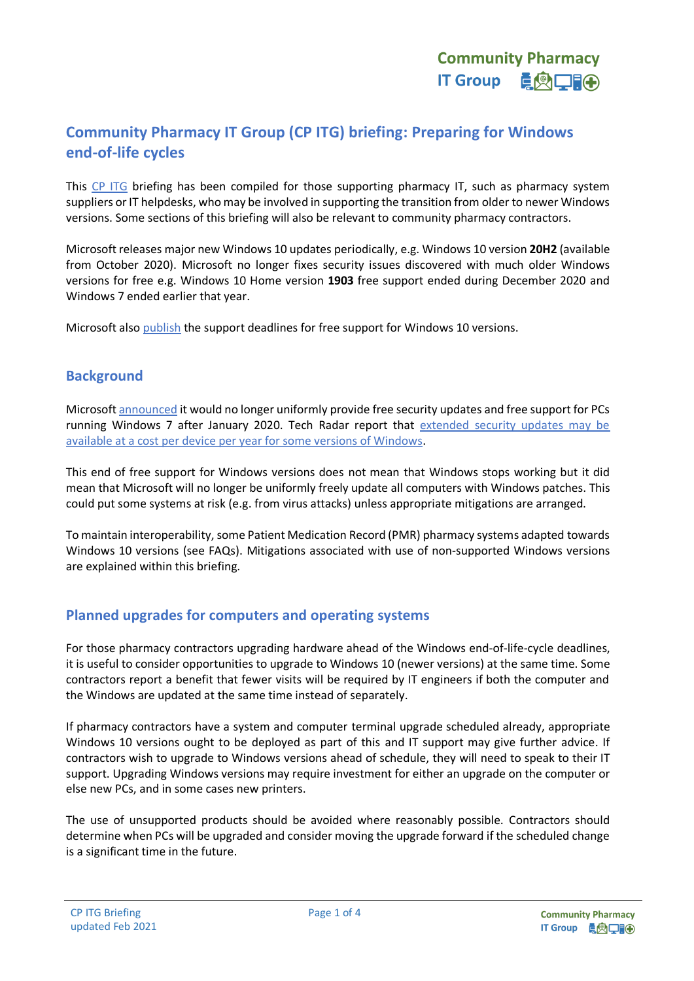# **Community Pharmacy IT Group (CP ITG) briefing: Preparing for Windows end-of-life cycles**

This [CP ITG](https://psnc.org.uk/cpitg) briefing has been compiled for those supporting pharmacy IT, such as pharmacy system suppliers or IT helpdesks, who may be involved in supporting the transition from older to newer Windows versions. Some sections of this briefing will also be relevant to community pharmacy contractors.

Microsoft releases major new Windows 10 updates periodically, e.g. Windows 10 version **20H2** (available from October 2020). Microsoft no longer fixes security issues discovered with much older Windows versions for free e.g. Windows 10 Home version **1903** free support ended during December 2020 and Windows 7 ended earlier that year.

Microsoft also [publish](https://support.microsoft.com/en-gb/help/13853/windows-lifecycle-fact-sheet) the support deadlines for free support for Windows 10 versions.

### **Background**

Microsoft [announced](https://www.microsoft.com/en-us/windowsforbusiness/end-of-windows-7-support) it would no longer uniformly provide free security updates and free support for PCs running Windows 7 after January 2020. Tech Radar report that [extended security updates may be](https://www.techradar.com/uk/news/want-to-keep-using-windows-7-after-2020-itll-cost-you)  [available at a cost per device per year for some versions of Windows.](https://www.techradar.com/uk/news/want-to-keep-using-windows-7-after-2020-itll-cost-you)

This end of free support for Windows versions does not mean that Windows stops working but it did mean that Microsoft will no longer be uniformly freely update all computers with Windows patches. This could put some systems at risk (e.g. from virus attacks) unless appropriate mitigations are arranged.

To maintain interoperability, some Patient Medication Record (PMR) pharmacy systems adapted towards Windows 10 versions (see FAQs). Mitigations associated with use of non-supported Windows versions are explained within this briefing.

# **Planned upgrades for computers and operating systems**

For those pharmacy contractors upgrading hardware ahead of the Windows end-of-life-cycle deadlines, it is useful to consider opportunities to upgrade to Windows 10 (newer versions) at the same time. Some contractors report a benefit that fewer visits will be required by IT engineers if both the computer and the Windows are updated at the same time instead of separately.

If pharmacy contractors have a system and computer terminal upgrade scheduled already, appropriate Windows 10 versions ought to be deployed as part of this and IT support may give further advice. If contractors wish to upgrade to Windows versions ahead of schedule, they will need to speak to their IT support. Upgrading Windows versions may require investment for either an upgrade on the computer or else new PCs, and in some cases new printers.

The use of unsupported products should be avoided where reasonably possible. Contractors should determine when PCs will be upgraded and consider moving the upgrade forward if the scheduled change is a significant time in the future.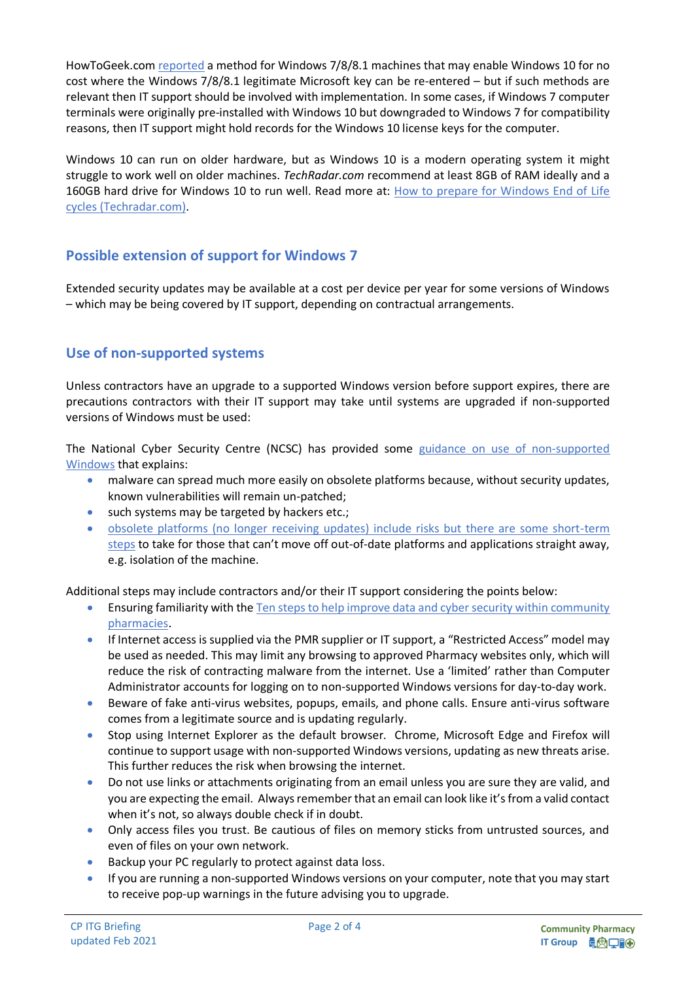HowToGeek.co[m reported](https://www.howtogeek.com/266072/you-can-still-get-windows-10-for-free-with-a-windows-7-8-or-8.1-key/) a method for Windows 7/8/8.1 machines that may enable Windows 10 for no cost where the Windows 7/8/8.1 legitimate Microsoft key can be re-entered – but if such methods are relevant then IT support should be involved with implementation. In some cases, if Windows 7 computer terminals were originally pre-installed with Windows 10 but downgraded to Windows 7 for compatibility reasons, then IT support might hold records for the Windows 10 license keys for the computer.

Windows 10 can run on older hardware, but as Windows 10 is a modern operating system it might struggle to work well on older machines. *TechRadar.com* recommend at least 8GB of RAM ideally and a 160GB hard drive for Windows 10 to run well. Read more at: [How to prepare for Windows End of Life](https://www.techradar.com/uk/how-to/how-to-prepare-for-windows-7-end-of-life) cycles [\(Techradar.com\).](https://www.techradar.com/uk/how-to/how-to-prepare-for-windows-7-end-of-life)

# **Possible extension of support for Windows 7**

Extended security updates may be available at a cost per device per year for some versions of Windows – which may be being covered by IT support, depending on contractual arrangements.

# **Use of non-supported systems**

Unless contractors have an upgrade to a supported Windows version before support expires, there are precautions contractors with their IT support may take until systems are upgraded if non-supported versions of Windows must be used:

The National Cyber Security Centre (NCSC) has provided some guidance on [use of non-supported](https://www.ncsc.gov.uk/blog-post/one-year-left-for-windows-7-support) [Windows](https://www.ncsc.gov.uk/blog-post/one-year-left-for-windows-7-support) that explains:

- malware can spread much more easily on obsolete platforms because, without security updates, known vulnerabilities will remain un-patched;
- such systems may be targeted by hackers etc.;
- [obsolete platforms \(no longer receiving updates\) include risks but there are some short-term](https://www.ncsc.gov.uk/guidance/obsolete-platforms-security-guidance#Applyshort-termmitigations)  [steps](https://www.ncsc.gov.uk/guidance/obsolete-platforms-security-guidance#Applyshort-termmitigations) to take for those that can't move off out-of-date platforms and applications straight away, e.g. isolation of the machine.

Additional steps may include contractors and/or their IT support considering the points below:

- Ensuring familiarity with the Ten steps to help improve data and cyber security within community [pharmacies.](https://psnc.org.uk/tensteps)
- If Internet access is supplied via the PMR supplier or IT support, a "Restricted Access" model may be used as needed. This may limit any browsing to approved Pharmacy websites only, which will reduce the risk of contracting malware from the internet. Use a 'limited' rather than Computer Administrator accounts for logging on to non-supported Windows versions for day-to-day work.
- Beware of fake anti-virus websites, popups, emails, and phone calls. Ensure anti-virus software comes from a legitimate source and is updating regularly.
- Stop using Internet Explorer as the default browser. Chrome, Microsoft Edge and Firefox will continue to support usage with non-supported Windows versions, updating as new threats arise. This further reduces the risk when browsing the internet.
- Do not use links or attachments originating from an email unless you are sure they are valid, and you are expecting the email. Always remember that an email can look like it's from a valid contact when it's not, so always double check if in doubt.
- Only access files you trust. Be cautious of files on memory sticks from untrusted sources, and even of files on your own network.
- Backup your PC regularly to protect against data loss.
- If you are running a non-supported Windows versions on your computer, note that you may start to receive pop-up warnings in the future advising you to upgrade.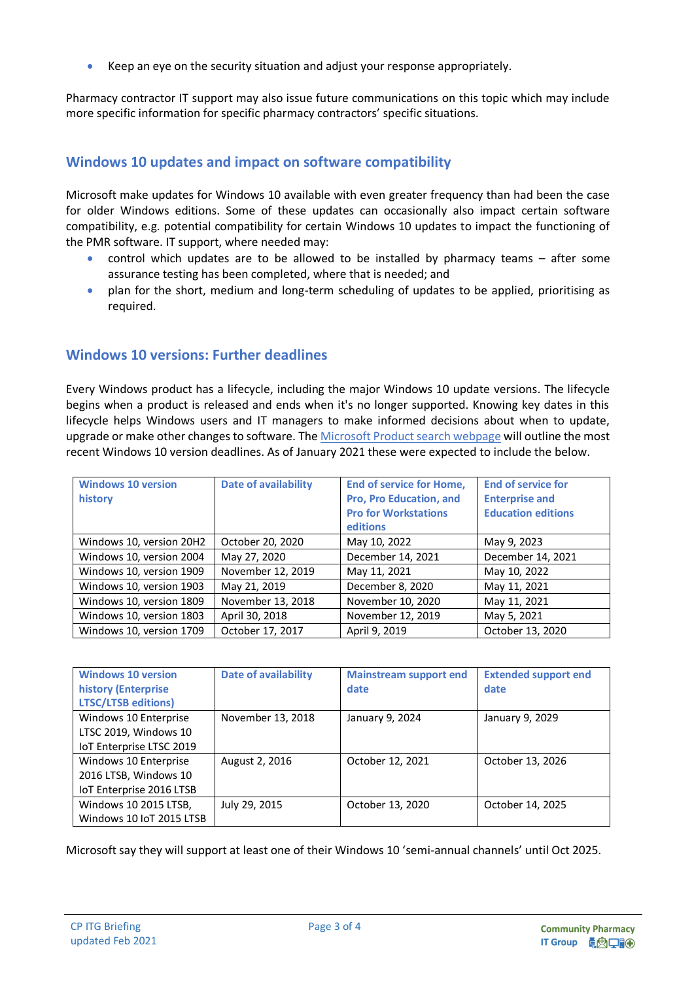• Keep an eye on the security situation and adjust your response appropriately.

Pharmacy contractor IT support may also issue future communications on this topic which may include more specific information for specific pharmacy contractors' specific situations.

# **Windows 10 updates and impact on software compatibility**

Microsoft make updates for Windows 10 available with even greater frequency than had been the case for older Windows editions. Some of these updates can occasionally also impact certain software compatibility, e.g. potential compatibility for certain Windows 10 updates to impact the functioning of the PMR software. IT support, where needed may:

- control which updates are to be allowed to be installed by pharmacy teams after some assurance testing has been completed, where that is needed; and
- plan for the short, medium and long-term scheduling of updates to be applied, prioritising as required.

### **Windows 10 versions: Further deadlines**

Every Windows product has a lifecycle, including the major Windows 10 update versions. The lifecycle begins when a product is released and ends when it's no longer supported. Knowing key dates in this lifecycle helps Windows users and IT managers to make informed decisions about when to update, upgrade or make other changes to software. The [Microsoft Product search webpage](https://docs.microsoft.com/en-us/lifecycle/products/?products=windows&terms=windows%2010) will outline the most recent Windows 10 version deadlines. As of January 2021 these were expected to include the below.

| <b>Windows 10 version</b><br>history | <b>Date of availability</b> | <b>End of service for Home,</b><br>Pro, Pro Education, and<br><b>Pro for Workstations</b><br>editions | <b>End of service for</b><br><b>Enterprise and</b><br><b>Education editions</b> |
|--------------------------------------|-----------------------------|-------------------------------------------------------------------------------------------------------|---------------------------------------------------------------------------------|
| Windows 10, version 20H2             | October 20, 2020            | May 10, 2022                                                                                          | May 9, 2023                                                                     |
| Windows 10, version 2004             | May 27, 2020                | December 14, 2021                                                                                     | December 14, 2021                                                               |
| Windows 10, version 1909             | November 12, 2019           | May 11, 2021                                                                                          | May 10, 2022                                                                    |
| Windows 10, version 1903             | May 21, 2019                | December 8, 2020                                                                                      | May 11, 2021                                                                    |
| Windows 10, version 1809             | November 13, 2018           | November 10, 2020                                                                                     | May 11, 2021                                                                    |
| Windows 10, version 1803             | April 30, 2018              | November 12, 2019                                                                                     | May 5, 2021                                                                     |
| Windows 10, version 1709             | October 17, 2017            | April 9, 2019                                                                                         | October 13, 2020                                                                |

| <b>Windows 10 version</b><br>history (Enterprise<br><b>LTSC/LTSB editions)</b> | <b>Date of availability</b> | <b>Mainstream support end</b><br>date | <b>Extended support end</b><br>date |
|--------------------------------------------------------------------------------|-----------------------------|---------------------------------------|-------------------------------------|
| Windows 10 Enterprise                                                          | November 13, 2018           | January 9, 2024                       | January 9, 2029                     |
| LTSC 2019, Windows 10                                                          |                             |                                       |                                     |
| IoT Enterprise LTSC 2019                                                       |                             |                                       |                                     |
| Windows 10 Enterprise                                                          | August 2, 2016              | October 12, 2021                      | October 13, 2026                    |
| 2016 LTSB, Windows 10                                                          |                             |                                       |                                     |
| IoT Enterprise 2016 LTSB                                                       |                             |                                       |                                     |
| Windows 10 2015 LTSB,                                                          | July 29, 2015               | October 13, 2020                      | October 14, 2025                    |
| Windows 10 IoT 2015 LTSB                                                       |                             |                                       |                                     |

Microsoft say they will support at least one of their Windows 10 'semi-annual channels' until Oct 2025.